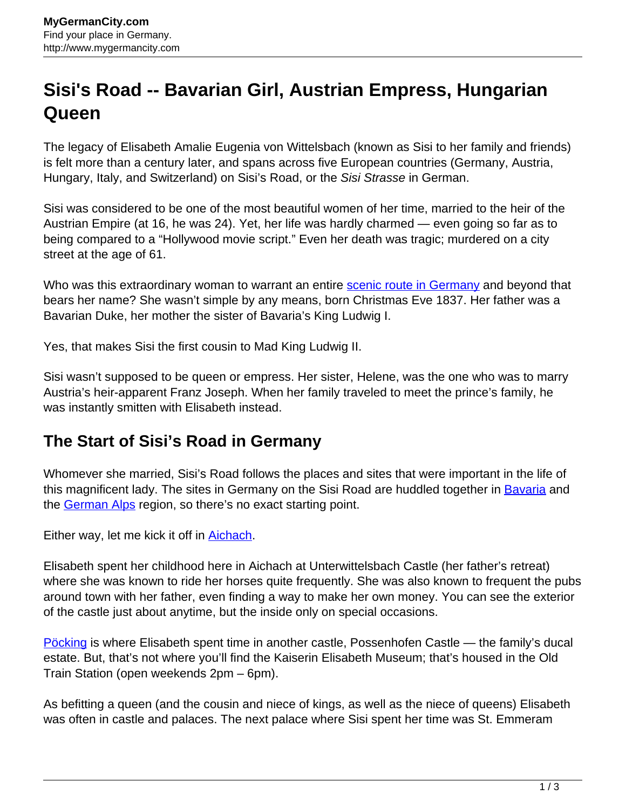## **Sisi's Road -- Bavarian Girl, Austrian Empress, Hungarian Queen**

The legacy of Elisabeth Amalie Eugenia von Wittelsbach (known as Sisi to her family and friends) is felt more than a century later, and spans across five European countries (Germany, Austria, Hungary, Italy, and Switzerland) on Sisi's Road, or the Sisi Strasse in German.

Sisi was considered to be one of the most beautiful women of her time, married to the heir of the Austrian Empire (at 16, he was 24). Yet, her life was hardly charmed — even going so far as to being compared to a "Hollywood movie script." Even her death was tragic; murdered on a city street at the age of 61.

Who was this extraordinary woman to warrant an entire **scenic route in Germany** and beyond that bears her name? She wasn't simple by any means, born Christmas Eve 1837. Her father was a Bavarian Duke, her mother the sister of Bavaria's King Ludwig I.

Yes, that makes Sisi the first cousin to Mad King Ludwig II.

Sisi wasn't supposed to be queen or empress. Her sister, Helene, was the one who was to marry Austria's heir-apparent Franz Joseph. When her family traveled to meet the prince's family, he was instantly smitten with Elisabeth instead.

## **The Start of Sisi's Road in Germany**

Whomever she married, Sisi's Road follows the places and sites that were important in the life of this magnificent lady. The sites in Germany on the Sisi Road are huddled together in [Bavaria](http://www.mygermancity.com/bavaria) and the [German Alps](http://www.mygermancity.com/german-alps) region, so there's no exact starting point.

Either way, let me kick it off in [Aichach.](http://www.mygermancity.com/aichach)

Elisabeth spent her childhood here in Aichach at Unterwittelsbach Castle (her father's retreat) where she was known to ride her horses quite frequently. She was also known to frequent the pubs around town with her father, even finding a way to make her own money. You can see the exterior of the castle just about anytime, but the inside only on special occasions.

[Pöcking](http://www.mygermancity.com/poecking) is where Elisabeth spent time in another castle, Possenhofen Castle — the family's ducal estate. But, that's not where you'll find the Kaiserin Elisabeth Museum; that's housed in the Old Train Station (open weekends 2pm – 6pm).

As befitting a queen (and the cousin and niece of kings, as well as the niece of queens) Elisabeth was often in castle and palaces. The next palace where Sisi spent her time was St. Emmeram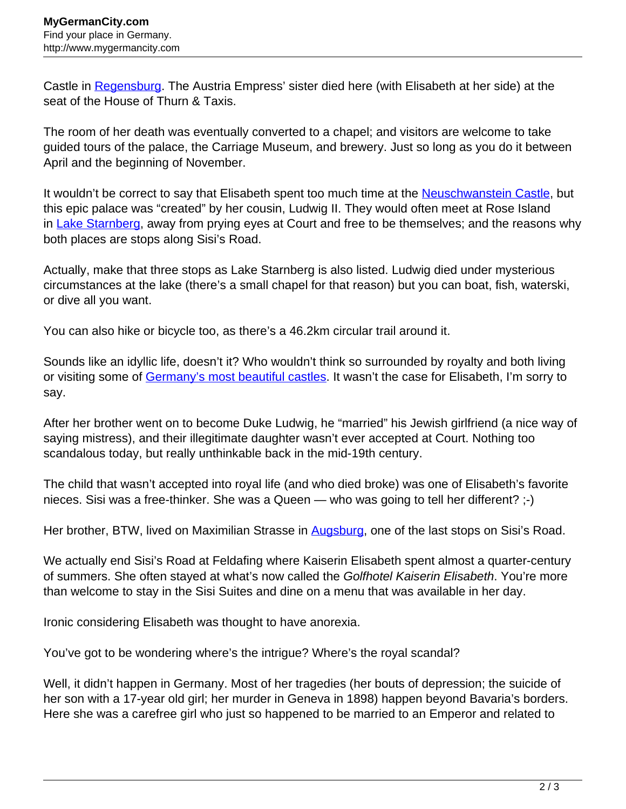Castle in [Regensburg.](http://www.mygermancity.com/regensburg) The Austria Empress' sister died here (with Elisabeth at her side) at the seat of the House of Thurn & Taxis.

The room of her death was eventually converted to a chapel; and visitors are welcome to take guided tours of the palace, the Carriage Museum, and brewery. Just so long as you do it between April and the beginning of November.

It wouldn't be correct to say that Elisabeth spent too much time at the **[Neuschwanstein Castle](http://www.mygermancity.com/neuschwanstein-castle)**, but this epic palace was "created" by her cousin, Ludwig II. They would often meet at Rose Island in [Lake Starnberg](http://www.mygermancity.com/lake-starnberg), away from prying eyes at Court and free to be themselves; and the reasons why both places are stops along Sisi's Road.

Actually, make that three stops as Lake Starnberg is also listed. Ludwig died under mysterious circumstances at the lake (there's a small chapel for that reason) but you can boat, fish, waterski, or dive all you want.

You can also hike or bicycle too, as there's a 46.2km circular trail around it.

Sounds like an idyllic life, doesn't it? Who wouldn't think so surrounded by royalty and both living or visiting some of [Germany's most beautiful castles](http://www.mygermancity.com/german-castles). It wasn't the case for Elisabeth, I'm sorry to say.

After her brother went on to become Duke Ludwig, he "married" his Jewish girlfriend (a nice way of saying mistress), and their illegitimate daughter wasn't ever accepted at Court. Nothing too scandalous today, but really unthinkable back in the mid-19th century.

The child that wasn't accepted into royal life (and who died broke) was one of Elisabeth's favorite nieces. Sisi was a free-thinker. She was a Queen — who was going to tell her different? ;-)

Her brother, BTW, lived on Maximilian Strasse in [Augsburg,](http://www.mygermancity.com/augsburg) one of the last stops on Sisi's Road.

We actually end Sisi's Road at Feldafing where Kaiserin Elisabeth spent almost a quarter-century of summers. She often stayed at what's now called the Golfhotel Kaiserin Elisabeth. You're more than welcome to stay in the Sisi Suites and dine on a menu that was available in her day.

Ironic considering Elisabeth was thought to have anorexia.

You've got to be wondering where's the intrigue? Where's the royal scandal?

Well, it didn't happen in Germany. Most of her tragedies (her bouts of depression; the suicide of her son with a 17-year old girl; her murder in Geneva in 1898) happen beyond Bavaria's borders. Here she was a carefree girl who just so happened to be married to an Emperor and related to